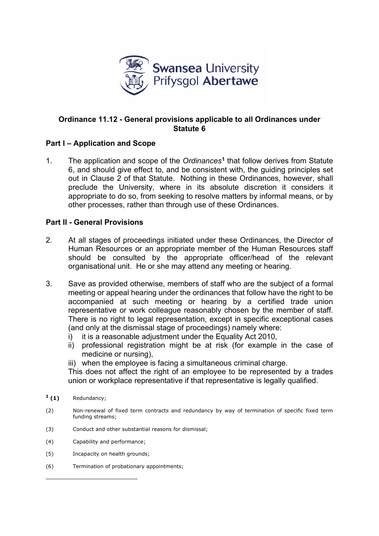

## **Ordinance 11.12 - General provisions applicable to all Ordinances under Statute 6**

### **Part I – Application and Scope**

1. The application and scope of the *Ordinances***[1](#page-0-0)** that follow derives from Statute 6, and should give effect to, and be consistent with, the guiding principles set out in Clause 2 of that Statute. Nothing in these Ordinances, however, shall preclude the University, where in its absolute discretion it considers it appropriate to do so, from seeking to resolve matters by informal means, or by other processes, rather than through use of these Ordinances.

#### **Part II - General Provisions**

- 2. At all stages of proceedings initiated under these Ordinances, the Director of Human Resources or an appropriate member of the Human Resources staff should be consulted by the appropriate officer/head of the relevant organisational unit. He or she may attend any meeting or hearing.
- 3. Save as provided otherwise, members of staff who are the subject of a formal meeting or appeal hearing under the ordinances that follow have the right to be accompanied at such meeting or hearing by a certified trade union representative or work colleague reasonably chosen by the member of staff. There is no right to legal representation, except in specific exceptional cases (and only at the dismissal stage of proceedings) namely where:
	- i) it is a reasonable adjustment under the Equality Act 2010,
	- ii) professional registration might be at risk (for example in the case of medicine or nursing),
	- iii) when the employee is facing a simultaneous criminal charge.

This does not affect the right of an employee to be represented by a trades union or workplace representative if that representative is legally qualified.

- **<sup>1</sup> (1)** Redundancy;
- (2) Non-renewal of fixed term contracts and redundancy by way of termination of specific fixed term funding streams;
- (3) Conduct and other substantial reasons for dismissal;
- (4) Capability and performance;
- (5) Incapacity on health grounds;
- <span id="page-0-0"></span>(6) Termination of probationary appointments;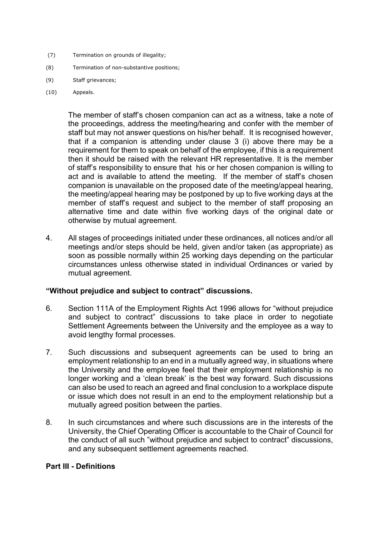- (7) Termination on grounds of illegality;
- (8) Termination of non-substantive positions;
- (9) Staff grievances;
- (10) Appeals.

The member of staff's chosen companion can act as a witness, take a note of the proceedings, address the meeting/hearing and confer with the member of staff but may not answer questions on his/her behalf. It is recognised however, that if a companion is attending under clause 3 (i) above there may be a requirement for them to speak on behalf of the employee, if this is a requirement then it should be raised with the relevant HR representative. It is the member of staff's responsibility to ensure that his or her chosen companion is willing to act and is available to attend the meeting. If the member of staff's chosen companion is unavailable on the proposed date of the meeting/appeal hearing, the meeting/appeal hearing may be postponed by up to five working days at the member of staff's request and subject to the member of staff proposing an alternative time and date within five working days of the original date or otherwise by mutual agreement.

4. All stages of proceedings initiated under these ordinances, all notices and/or all meetings and/or steps should be held, given and/or taken (as appropriate) as soon as possible normally within 25 working days depending on the particular circumstances unless otherwise stated in individual Ordinances or varied by mutual agreement.

#### **"Without prejudice and subject to contract" discussions.**

- 6. Section 111A of the Employment Rights Act 1996 allows for "without prejudice and subject to contract" discussions to take place in order to negotiate Settlement Agreements between the University and the employee as a way to avoid lengthy formal processes.
- 7. Such discussions and subsequent agreements can be used to bring an employment relationship to an end in a mutually agreed way, in situations where the University and the employee feel that their employment relationship is no longer working and a 'clean break' is the best way forward. Such discussions can also be used to reach an agreed and final conclusion to a workplace dispute or issue which does not result in an end to the employment relationship but a mutually agreed position between the parties.
- 8. In such circumstances and where such discussions are in the interests of the University, the Chief Operating Officer is accountable to the Chair of Council for the conduct of all such "without prejudice and subject to contract" discussions, and any subsequent settlement agreements reached.

#### **Part III - Definitions**